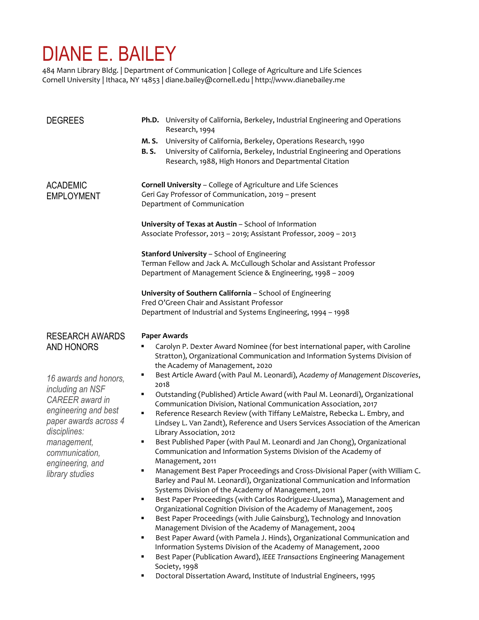# DIANE E. BAILEY

484 Mann Library Bldg. | Department of Communication | College of Agriculture and Life Sciences Cornell University | Ithaca, NY 14853 | diane.bailey@cornell.edu | http://www.dianebailey.me

| <b>DEGREES</b>                                                                                                                                                                                                                                              | Ph.D. University of California, Berkeley, Industrial Engineering and Operations<br>Research, 1994                                                                                                                                                                                                                                                                                                                                                                                                                                                                                                                                                                                                                                                                                                                                                                                                                                                                                                                                                                                                                                                                                                                                                                                                                                                                                                                                                                    |  |  |
|-------------------------------------------------------------------------------------------------------------------------------------------------------------------------------------------------------------------------------------------------------------|----------------------------------------------------------------------------------------------------------------------------------------------------------------------------------------------------------------------------------------------------------------------------------------------------------------------------------------------------------------------------------------------------------------------------------------------------------------------------------------------------------------------------------------------------------------------------------------------------------------------------------------------------------------------------------------------------------------------------------------------------------------------------------------------------------------------------------------------------------------------------------------------------------------------------------------------------------------------------------------------------------------------------------------------------------------------------------------------------------------------------------------------------------------------------------------------------------------------------------------------------------------------------------------------------------------------------------------------------------------------------------------------------------------------------------------------------------------------|--|--|
|                                                                                                                                                                                                                                                             | University of California, Berkeley, Operations Research, 1990<br>M. S.<br>University of California, Berkeley, Industrial Engineering and Operations<br><b>B.S.</b><br>Research, 1988, High Honors and Departmental Citation                                                                                                                                                                                                                                                                                                                                                                                                                                                                                                                                                                                                                                                                                                                                                                                                                                                                                                                                                                                                                                                                                                                                                                                                                                          |  |  |
| <b>ACADEMIC</b><br><b>EMPLOYMENT</b>                                                                                                                                                                                                                        | Cornell University - College of Agriculture and Life Sciences<br>Geri Gay Professor of Communication, 2019 - present<br>Department of Communication                                                                                                                                                                                                                                                                                                                                                                                                                                                                                                                                                                                                                                                                                                                                                                                                                                                                                                                                                                                                                                                                                                                                                                                                                                                                                                                  |  |  |
|                                                                                                                                                                                                                                                             | University of Texas at Austin - School of Information<br>Associate Professor, 2013 - 2019; Assistant Professor, 2009 - 2013                                                                                                                                                                                                                                                                                                                                                                                                                                                                                                                                                                                                                                                                                                                                                                                                                                                                                                                                                                                                                                                                                                                                                                                                                                                                                                                                          |  |  |
|                                                                                                                                                                                                                                                             | <b>Stanford University - School of Engineering</b><br>Terman Fellow and Jack A. McCullough Scholar and Assistant Professor<br>Department of Management Science & Engineering, 1998 - 2009                                                                                                                                                                                                                                                                                                                                                                                                                                                                                                                                                                                                                                                                                                                                                                                                                                                                                                                                                                                                                                                                                                                                                                                                                                                                            |  |  |
|                                                                                                                                                                                                                                                             | University of Southern California - School of Engineering<br>Fred O'Green Chair and Assistant Professor<br>Department of Industrial and Systems Engineering, 1994 - 1998                                                                                                                                                                                                                                                                                                                                                                                                                                                                                                                                                                                                                                                                                                                                                                                                                                                                                                                                                                                                                                                                                                                                                                                                                                                                                             |  |  |
| <b>RESEARCH AWARDS</b><br><b>AND HONORS</b><br>16 awards and honors,<br>including an NSF<br><b>CAREER</b> award in<br>engineering and best<br>paper awards across 4<br>disciplines:<br>management,<br>communication,<br>engineering, and<br>library studies | <b>Paper Awards</b><br>Carolyn P. Dexter Award Nominee (for best international paper, with Caroline<br>Stratton), Organizational Communication and Information Systems Division of<br>the Academy of Management, 2020<br>Best Article Award (with Paul M. Leonardi), Academy of Management Discoveries,<br>٠<br>2018<br>Outstanding (Published) Article Award (with Paul M. Leonardi), Organizational<br>٠<br>Communication Division, National Communication Association, 2017<br>Reference Research Review (with Tiffany LeMaistre, Rebecka L. Embry, and<br>٠<br>Lindsey L. Van Zandt), Reference and Users Services Association of the American<br>Library Association, 2012<br>Best Published Paper (with Paul M. Leonardi and Jan Chong), Organizational<br>٠<br>Communication and Information Systems Division of the Academy of<br>Management, 2011<br>Management Best Paper Proceedings and Cross-Divisional Paper (with William C.<br>Barley and Paul M. Leonardi), Organizational Communication and Information<br>Systems Division of the Academy of Management, 2011<br>Best Paper Proceedings (with Carlos Rodriguez-Lluesma), Management and<br>٠<br>Organizational Cognition Division of the Academy of Management, 2005<br>Best Paper Proceedings (with Julie Gainsburg), Technology and Innovation<br>٠<br>Management Division of the Academy of Management, 2004<br>Best Paper Award (with Pamela J. Hinds), Organizational Communication and<br>٠ |  |  |

- Information Systems Division of the Academy of Management, 2000
- Best Paper (Publication Award), *IEEE Transactions* Engineering Management Society, 1998
- Doctoral Dissertation Award, Institute of Industrial Engineers, 1995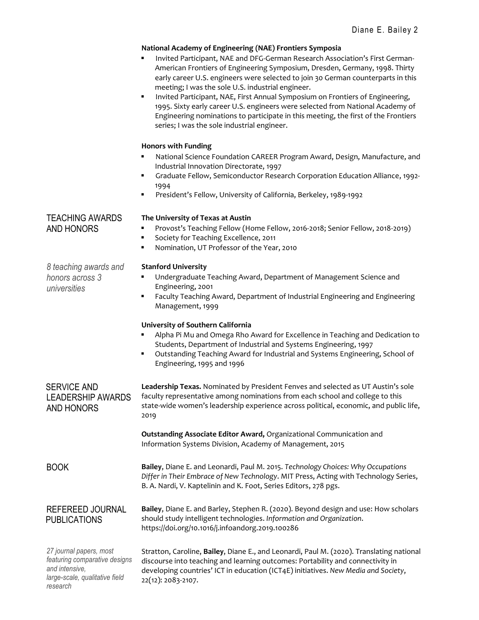# **National Academy of Engineering (NAE) Frontiers Symposia** Invited Participant, NAE and DFG-German Research Association's First German-American Frontiers of Engineering Symposium, Dresden, Germany, 1998. Thirty early career U.S. engineers were selected to join 30 German counterparts in this meeting; I was the sole U.S. industrial engineer. Invited Participant, NAE, First Annual Symposium on Frontiers of Engineering, 1995. Sixty early career U.S. engineers were selected from National Academy of Engineering nominations to participate in this meeting, the first of the Frontiers series; I was the sole industrial engineer. **Honors with Funding** National Science Foundation CAREER Program Award, Design, Manufacture, and Industrial Innovation Directorate, 1997 ▪ Graduate Fellow, Semiconductor Research Corporation Education Alliance, 1992- 1994 President's Fellow, University of California, Berkeley, 1989-1992 TEACHING AWARDS **The University of Texas at Austin** AND HONORS ▪ Provost's Teaching Fellow (Home Fellow, 2016-2018; Senior Fellow, 2018-2019) Society for Teaching Excellence, 2011 Nomination, UT Professor of the Year, 2010 *8 teaching awards and* **Stanford University** *honors across 3 universities* Undergraduate Teaching Award, Department of Management Science and Engineering, 2001 Faculty Teaching Award, Department of Industrial Engineering and Engineering Management, 1999 **University of Southern California** Alpha Pi Mu and Omega Rho Award for Excellence in Teaching and Dedication to Students, Department of Industrial and Systems Engineering, 1997 Outstanding Teaching Award for Industrial and Systems Engineering, School of Engineering, 1995 and 1996 SERVICE AND LEADERSHIP AWARDS AND HONORS **Leadership Texas.** Nominated by President Fenves and selected as UT Austin's sole faculty representative among nominations from each school and college to this state-wide women's leadership experience across political, economic, and public life, 2019 **Outstanding Associate Editor Award,** Organizational Communication and Information Systems Division, Academy of Management, 2015 BOOK **Bailey**, Diane E. and Leonardi, Paul M. 2015. *Technology Choices: Why Occupations Differ in Their Embrace of New Technology*. MIT Press, Acting with Technology Series, B. A. Nardi, V. Kaptelinin and K. Foot, Series Editors, 278 pgs. REFEREED JOURNAL PUBLICATIONS **Bailey**, Diane E. and Barley, Stephen R. (2020). Beyond design and use: How scholars should study intelligent technologies. *Information and Organization*. https://doi.org/10.1016/j.infoandorg.2019.100286 *27 journal papers, most featuring comparative designs and intensive, large-scale, qualitative field*  Stratton, Caroline, **Bailey**, Diane E., and Leonardi, Paul M. (2020). Translating national discourse into teaching and learning outcomes: Portability and connectivity in developing countries' ICT in education (ICT4E) initiatives. *New Media and Society*,

*research*

22(12): 2083-2107.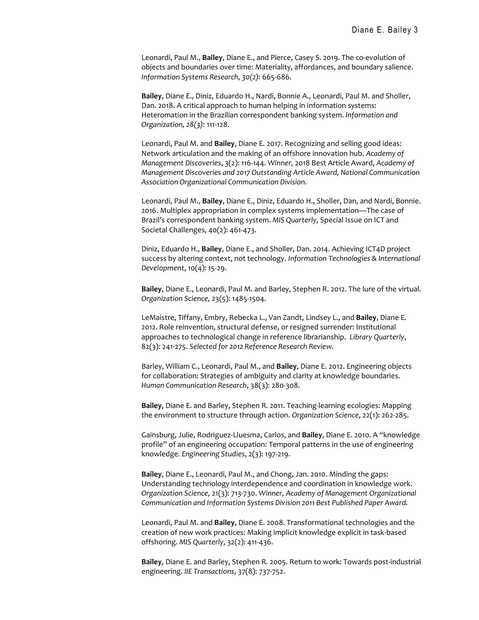Leonardi, Paul M., **Bailey**, Diane E., and Pierce, Casey S. 2019. The co-evolution of objects and boundaries over time: Materiality, affordances, and boundary salience. *Information Systems Research, 30(2):* 665-686.

**Bailey**, Diane E., Diniz, Eduardo H., Nardi, Bonnie A., Leonardi, Paul M. and Sholler, Dan. 2018. A critical approach to human helping in information systems: Heteromation in the Brazilian correspondent banking system. *Information and Organization, 28(3)*: 111-128.

Leonardi, Paul M. and **Bailey**, Diane E. 2017. Recognizing and selling good ideas: Network articulation and the making of an offshore innovation hub. *Academy of Management Discoveries*, 3(2): 116-144. *Winner,* 2018 Best Article Award, *Academy of Management Discoveries and 2017 Outstanding Article Award, National Communication Association Organizational Communication Division.*

Leonardi, Paul M., **Bailey**, Diane E., Diniz, Eduardo H., Sholler, Dan, and Nardi, Bonnie. 2016. Multiplex appropriation in complex systems implementation—The case of Brazil's correspondent banking system. *MIS Quarterly*, Special Issue on ICT and Societal Challenges, 40(2): 461-473.

Diniz, Eduardo H., **Bailey**, Diane E., and Sholler, Dan. 2014. Achieving ICT4D project success by altering context, not technology. *Information Technologies & International Development*, 10(4): 15-29.

**Bailey**, Diane E., Leonardi, Paul M. and Barley, Stephen R. 2012. The lure of the virtual. *Organization Science,* 23(5): 1485-1504.

LeMaistre, Tiffany, Embry, Rebecka L., Van Zandt, Lindsey L., and **Bailey**, Diane E. 2012. Role reinvention, structural defense, or resigned surrender: Institutional approaches to technological change in reference librarianship. *Library Quarterly*, 82(3): 241-275. *Selected for 2012 Reference Research Review.*

Barley, William C., Leonardi, Paul M., and **Bailey**, Diane E. 2012. Engineering objects for collaboration: Strategies of ambiguity and clarity at knowledge boundaries. *Human Communication Research*, 38(3): 280-308.

**Bailey**, Diane E. and Barley, Stephen R. 2011. Teaching-learning ecologies: Mapping the environment to structure through action. *Organization Science*, 22(1): 262-285.

Gainsburg, Julie, Rodriguez-Lluesma, Carlos, and **Bailey**, Diane E. 2010. A "knowledge profile" of an engineering occupation: Temporal patterns in the use of engineering knowledge*. Engineering Studies*, 2(3): 197-219.

**Bailey**, Diane E., Leonardi, Paul M., and Chong, Jan. 2010. Minding the gaps: Understanding technology interdependence and coordination in knowledge work. *Organization Science*, 21(3): 713-730. *Winner, Academy of Management Organizational Communication and Information Systems Division 2011 Best Published Paper Award.*

Leonardi, Paul M. and **Bailey**, Diane E. 2008. Transformational technologies and the creation of new work practices: Making implicit knowledge explicit in task-based offshoring. *MIS Quarterly*, 32(2): 411-436.

**Bailey**, Diane E. and Barley, Stephen R. 2005. Return to work: Towards post-industrial engineering. *IIE Transactions*, 37(8): 737-752.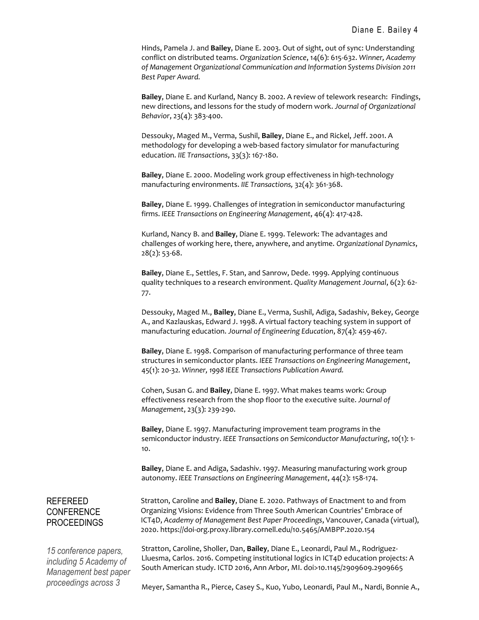Hinds, Pamela J. and **Bailey**, Diane E. 2003. Out of sight, out of sync: Understanding conflict on distributed teams. *Organization Science*, 14(6): 615-632. *Winner, Academy of Management Organizational Communication and Information Systems Division 2011 Best Paper Award.*

**Bailey**, Diane E. and Kurland, Nancy B. 2002. A review of telework research: Findings, new directions, and lessons for the study of modern work. *Journal of Organizational Behavior*, 23(4): 383-400.

Dessouky, Maged M., Verma, Sushil, **Bailey**, Diane E., and Rickel, Jeff. 2001. A methodology for developing a web-based factory simulator for manufacturing education. *IIE Transactions*, 33(3): 167-180.

**Bailey**, Diane E. 2000. Modeling work group effectiveness in high-technology manufacturing environments. *IIE Transactions,* 32(4): 361-368.

**Bailey**, Diane E. 1999. Challenges of integration in semiconductor manufacturing firms. *IEEE Transactions on Engineering Management*, 46(4): 417-428.

Kurland, Nancy B. and **Bailey**, Diane E. 1999. Telework: The advantages and challenges of working here, there, anywhere, and anytime. *Organizational Dynamics*, 28(2): 53-68.

**Bailey**, Diane E., Settles, F. Stan, and Sanrow, Dede. 1999. Applying continuous quality techniques to a research environment. *Quality Management Journal*, 6(2): 62- 77.

Dessouky, Maged M., **Bailey**, Diane E., Verma, Sushil, Adiga, Sadashiv, Bekey, George A., and Kazlauskas, Edward J. 1998. A virtual factory teaching system in support of manufacturing education. *Journal of Engineering Education*, 87(4): 459-467.

**Bailey**, Diane E. 1998. Comparison of manufacturing performance of three team structures in semiconductor plants. *IEEE Transactions on Engineering Management*, 45(1): 20-32*. Winner, 1998 IEEE Transactions Publication Award.*

Cohen, Susan G. and **Bailey**, Diane E. 1997. What makes teams work: Group effectiveness research from the shop floor to the executive suite. *Journal of Management*, 23(3): 239-290.

**Bailey**, Diane E. 1997. Manufacturing improvement team programs in the semiconductor industry. *IEEE Transactions on Semiconductor Manufacturing*, 10(1): 1- 10.

**Bailey**, Diane E. and Adiga, Sadashiv. 1997. Measuring manufacturing work group autonomy. *IEEE Transactions on Engineering Management*, 44(2): 158-174.

# REFEREED **CONFERENCE** PROCEEDINGS

*15 conference papers, including 5 Academy of Management best paper proceedings across 3* 

Stratton, Caroline and **Bailey**, Diane E. 2020. Pathways of Enactment to and from Organizing Visions: Evidence from Three South American Countries' Embrace of ICT4D, *Academy of Management Best Paper Proceedings*, Vancouver, Canada (virtual), 2020. https://doi-org.proxy.library.cornell.edu/10.5465/AMBPP.2020.154

Stratton, Caroline, Sholler, Dan, **Bailey**, Diane E., Leonardi, Paul M., Rodriguez-Lluesma, Carlos. 2016. Competing institutional logics in ICT4D education projects: A South American study. ICTD 2016, Ann Arbor, MI. doi>10.1145/2909609.2909665

Meyer, Samantha R., Pierce, Casey S., Kuo, Yubo, Leonardi, Paul M., Nardi, Bonnie A.,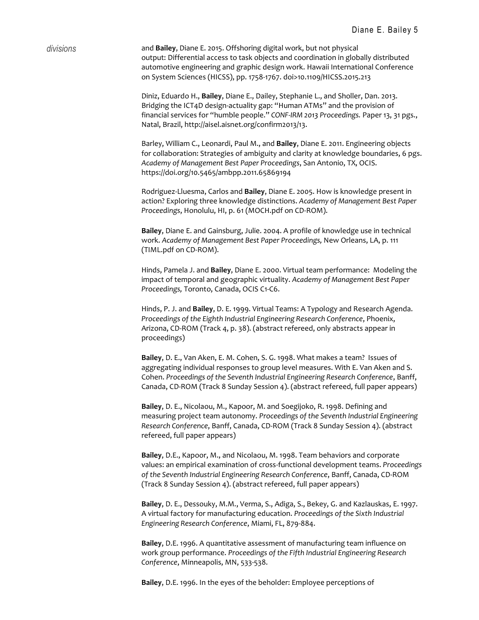*divisions* and **Bailey**, Diane E. 2015. Offshoring digital work, but not physical output: Differential access to task objects and coordination in globally distributed automotive engineering and graphic design work. Hawaii International Conference on System Sciences (HICSS), pp. 1758-1767. doi>10.1109/HICSS.2015.213

> Diniz, Eduardo H., **Bailey**, Diane E., Dailey, Stephanie L., and Sholler, Dan. 2013. Bridging the ICT4D design-actuality gap: "Human ATMs" and the provision of financial services for "humble people." *CONF-IRM 2013 Proceedings.* Paper 13, 31 pgs., Natal, Brazil, http://aisel.aisnet.org/confirm2013/13.

Barley, William C., Leonardi, Paul M., and **Bailey**, Diane E. 2011. Engineering objects for collaboration: Strategies of ambiguity and clarity at knowledge boundaries, 6 pgs. *Academy of Management Best Paper Proceedings*, San Antonio, TX, OCIS. https://doi.org/10.5465/ambpp.2011.65869194

Rodriguez-Lluesma, Carlos and **Bailey**, Diane E. 2005. How is knowledge present in action? Exploring three knowledge distinctions. *Academy of Management Best Paper Proceedings*, Honolulu, HI, p. 61 (MOCH.pdf on CD-ROM).

**Bailey**, Diane E. and Gainsburg, Julie. 2004. A profile of knowledge use in technical work. *Academy of Management Best Paper Proceedings,* New Orleans, LA, p. 111 (TIML.pdf on CD-ROM).

Hinds, Pamela J. and **Bailey**, Diane E. 2000. Virtual team performance: Modeling the impact of temporal and geographic virtuality. *Academy of Management Best Paper Proceedings,* Toronto, Canada, OCIS C1-C6.

Hinds, P. J. and **Bailey**, D. E. 1999. Virtual Teams: A Typology and Research Agenda. *Proceedings of the Eighth Industrial Engineering Research Conference*, Phoenix, Arizona, CD-ROM (Track 4, p. 38). (abstract refereed, only abstracts appear in proceedings)

**Bailey**, D. E., Van Aken, E. M. Cohen, S. G. 1998. What makes a team? Issues of aggregating individual responses to group level measures. With E. Van Aken and S. Cohen. *Proceedings of the Seventh Industrial Engineering Research Conference*, Banff, Canada, CD-ROM (Track 8 Sunday Session 4). (abstract refereed, full paper appears)

**Bailey**, D. E., Nicolaou, M., Kapoor, M. and Soegijoko, R. 1998. Defining and measuring project team autonomy. *Proceedings of the Seventh Industrial Engineering Research Conference*, Banff, Canada, CD-ROM (Track 8 Sunday Session 4). (abstract refereed, full paper appears)

**Bailey**, D.E., Kapoor, M., and Nicolaou, M. 1998. Team behaviors and corporate values: an empirical examination of cross-functional development teams. *Proceedings of the Seventh Industrial Engineering Research Conference*, Banff, Canada, CD-ROM (Track 8 Sunday Session 4). (abstract refereed, full paper appears)

**Bailey**, D. E., Dessouky, M.M., Verma, S., Adiga, S., Bekey, G. and Kazlauskas, E. 1997. A virtual factory for manufacturing education. *Proceedings of the Sixth Industrial Engineering Research Conference*, Miami, FL, 879-884.

**Bailey**, D.E. 1996. A quantitative assessment of manufacturing team influence on work group performance. *Proceedings of the Fifth Industrial Engineering Research Conference*, Minneapolis, MN, 533-538.

**Bailey**, D.E. 1996. In the eyes of the beholder: Employee perceptions of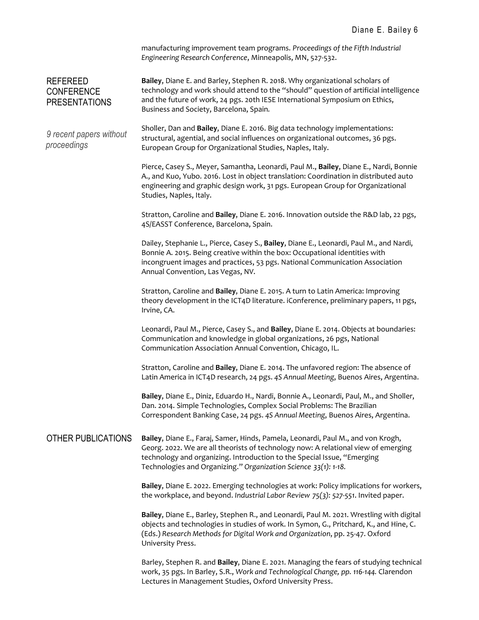manufacturing improvement team programs. *Proceedings of the Fifth Industrial Engineering Research Conference*, Minneapolis, MN, 527-532.

REFEREED **CONFERENCE** PRESENTATIONS **Bailey**, Diane E. and Barley, Stephen R. 2018. Why organizational scholars of technology and work should attend to the "should" question of artificial intelligence and the future of work, 24 pgs. 20th IESE International Symposium on Ethics, Business and Society, Barcelona, Spain*.*

*9 recent papers without*  Sholler, Dan and **Bailey**, Diane E. 2016. Big data technology implementations: structural, agential, and social influences on organizational outcomes, 36 pgs. European Group for Organizational Studies, Naples, Italy.

*proceedings*

Pierce, Casey S., Meyer, Samantha, Leonardi, Paul M., **Bailey**, Diane E., Nardi, Bonnie A., and Kuo, Yubo. 2016. Lost in object translation: Coordination in distributed auto engineering and graphic design work, 31 pgs. European Group for Organizational Studies, Naples, Italy.

Stratton, Caroline and **Bailey**, Diane E. 2016. Innovation outside the R&D lab, 22 pgs, 4S/EASST Conference, Barcelona, Spain.

Dailey, Stephanie L., Pierce, Casey S., **Bailey**, Diane E., Leonardi, Paul M., and Nardi, Bonnie A. 2015. Being creative within the box: Occupational identities with incongruent images and practices, 53 pgs. National Communication Association Annual Convention, Las Vegas, NV.

Stratton, Caroline and **Bailey**, Diane E. 2015. A turn to Latin America: Improving theory development in the ICT4D literature. iConference, preliminary papers, 11 pgs, Irvine, CA.

Leonardi, Paul M., Pierce, Casey S., and **Bailey**, Diane E. 2014. Objects at boundaries: Communication and knowledge in global organizations, 26 pgs, National Communication Association Annual Convention, Chicago, IL.

Stratton, Caroline and **Bailey**, Diane E. 2014. The unfavored region: The absence of Latin America in ICT4D research, 24 pgs. *4S Annual Meeting*, Buenos Aires, Argentina.

**Bailey**, Diane E., Diniz, Eduardo H., Nardi, Bonnie A., Leonardi, Paul, M., and Sholler, Dan. 2014. Simple Technologies, Complex Social Problems: The Brazilian Correspondent Banking Case, 24 pgs. *4S Annual Meeting*, Buenos Aires, Argentina.

## OTHER PUBLICATIONS **Bailey**, Diane E., Faraj, Samer, Hinds, Pamela, Leonardi, Paul M., and von Krogh, Georg. 2022. We are all theorists of technology now: A relational view of emerging technology and organizing. Introduction to the Special Issue, "Emerging Technologies and Organizing." *Organization Science 33(1): 1-18.*

**Bailey**, Diane E. 2022. Emerging technologies at work: Policy implications for workers, the workplace, and beyond. *Industrial Labor Review 75(3): 527-551*. Invited paper.

**Bailey**, Diane E., Barley, Stephen R., and Leonardi, Paul M. 2021. Wrestling with digital objects and technologies in studies of work. In Symon, G., Pritchard, K., and Hine, C. (Eds.) *Research Methods for Digital Work and Organization*, pp. 25-47. Oxford University Press.

Barley, Stephen R. and **Bailey**, Diane E. 2021. Managing the fears of studying technical work, 35 pgs. In Barley, S.R., *Work and Technological Change, pp. 116-144.* Clarendon Lectures in Management Studies, Oxford University Press.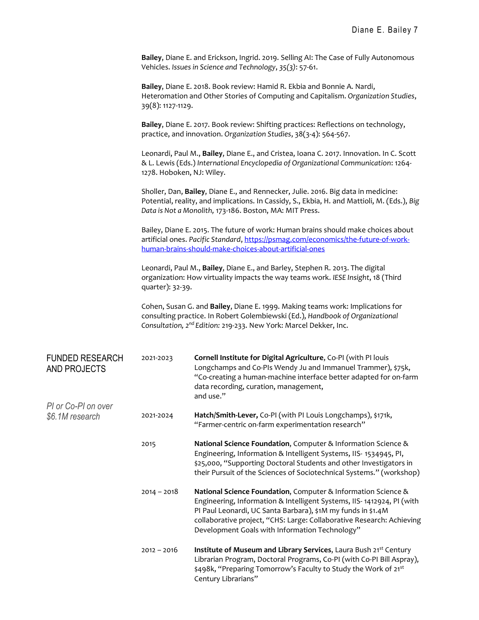**Bailey**, Diane E. and Erickson, Ingrid. 2019. Selling AI: The Case of Fully Autonomous Vehicles. *Issues in Science and Technology*, *35(3)*: 57-61.

**Bailey**, Diane E. 2018. Book review: Hamid R. Ekbia and Bonnie A. Nardi, Heteromation and Other Stories of Computing and Capitalism. *Organization Studies*, 39(8): 1127-1129.

**Bailey**, Diane E. 2017. Book review: Shifting practices: Reflections on technology, practice, and innovation. *Organization Studies*, 38(3-4): 564-567.

Leonardi, Paul M., **Bailey**, Diane E., and Cristea, Ioana C. 2017. Innovation. In C. Scott & L. Lewis (Eds.) *International Encyclopedia of Organizational Communication*: 1264- 1278. Hoboken, NJ: Wiley.

Sholler, Dan, **Bailey**, Diane E., and Rennecker, Julie. 2016. Big data in medicine: Potential, reality, and implications. In Cassidy, S., Ekbia, H. and Mattioli, M. (Eds.), *Big Data is Not a Monolith,* 173-186. Boston, MA: MIT Press.

Bailey, Diane E. 2015. The future of work: Human brains should make choices about artificial ones. *Pacific Standard*[, https://psmag.com/economics/the-future-of-work](https://psmag.com/economics/the-future-of-work-human-brains-should-make-choices-about-artificial-ones)[human-brains-should-make-choices-about-artificial-ones](https://psmag.com/economics/the-future-of-work-human-brains-should-make-choices-about-artificial-ones)

Leonardi, Paul M., **Bailey**, Diane E., and Barley, Stephen R. 2013. The digital organization: How virtuality impacts the way teams work. *IESE Insight*, 18 (Third quarter): 32-39.

Cohen, Susan G. and **Bailey**, Diane E. 1999. Making teams work: Implications for consulting practice. In Robert Golembiewski (Ed.), *Handbook of Organizational Consultation, 2nd Edition:* 219-233. New York: Marcel Dekker, Inc.

| <b>FUNDED RESEARCH</b><br>AND PROJECTS | 2021-2023     | Cornell Institute for Digital Agriculture, Co-PI (with PI louis<br>Longchamps and Co-PIs Wendy Ju and Immanuel Trammer), \$75k,<br>"Co-creating a human-machine interface better adapted for on-farm<br>data recording, curation, management,<br>and use."                                                                        |
|----------------------------------------|---------------|-----------------------------------------------------------------------------------------------------------------------------------------------------------------------------------------------------------------------------------------------------------------------------------------------------------------------------------|
| PI or Co-PI on over                    |               |                                                                                                                                                                                                                                                                                                                                   |
| \$6.1M research                        | 2021-2024     | Hatch/Smith-Lever, Co-PI (with PI Louis Longchamps), \$171k,<br>"Farmer-centric on-farm experimentation research"                                                                                                                                                                                                                 |
|                                        | 2015          | National Science Foundation, Computer & Information Science &<br>Engineering, Information & Intelligent Systems, IIS- 1534945, PI,<br>\$25,000, "Supporting Doctoral Students and other Investigators in<br>their Pursuit of the Sciences of Sociotechnical Systems." (workshop)                                                  |
|                                        | $2014 - 2018$ | National Science Foundation, Computer & Information Science &<br>Engineering, Information & Intelligent Systems, IIS-1412924, PI (with<br>PI Paul Leonardi, UC Santa Barbara), \$1M my funds in \$1.4M<br>collaborative project, "CHS: Large: Collaborative Research: Achieving<br>Development Goals with Information Technology" |
|                                        | $2012 - 2016$ | Institute of Museum and Library Services, Laura Bush 21st Century<br>Librarian Program, Doctoral Programs, Co-PI (with Co-PI Bill Aspray),<br>\$498k, "Preparing Tomorrow's Faculty to Study the Work of 21st<br>Century Librarians"                                                                                              |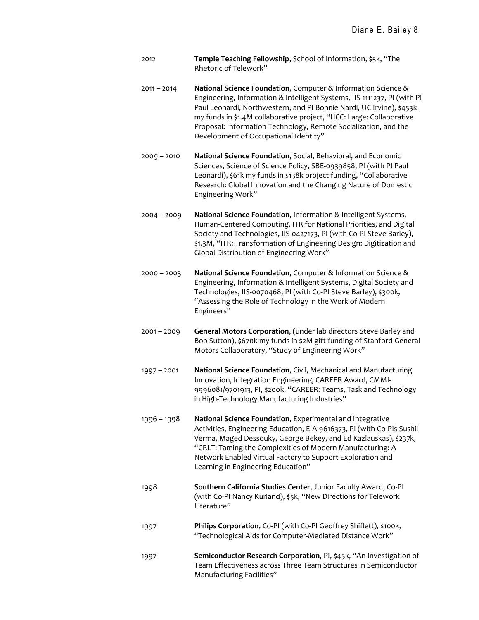- 2012 **Temple Teaching Fellowship**, School of Information, \$5k, "The Rhetoric of Telework"
- 2011 2014 **National Science Foundation**, Computer & Information Science & Engineering, Information & Intelligent Systems, IIS-1111237, PI (with PI Paul Leonardi, Northwestern, and PI Bonnie Nardi, UC Irvine), \$453k my funds in \$1.4M collaborative project, "HCC: Large: Collaborative Proposal: Information Technology, Remote Socialization, and the Development of Occupational Identity"
- 2009 2010 **National Science Foundation**, Social, Behavioral, and Economic Sciences, Science of Science Policy, SBE-0939858, PI (with PI Paul Leonardi), \$61k my funds in \$138k project funding, "Collaborative Research: Global Innovation and the Changing Nature of Domestic Engineering Work"
- 2004 2009 **National Science Foundation**, Information & Intelligent Systems, Human-Centered Computing, ITR for National Priorities, and Digital Society and Technologies, IIS-0427173, PI (with Co-PI Steve Barley), \$1.3M, "ITR: Transformation of Engineering Design: Digitization and Global Distribution of Engineering Work"
- 2000 2003 **National Science Foundation**, Computer & Information Science & Engineering, Information & Intelligent Systems, Digital Society and Technologies, IIS-0070468, PI (with Co-PI Steve Barley), \$300k, "Assessing the Role of Technology in the Work of Modern Engineers"
- 2001 2009 **General Motors Corporation**, (under lab directors Steve Barley and Bob Sutton), \$670k my funds in \$2M gift funding of Stanford-General Motors Collaboratory, "Study of Engineering Work"
- 1997 2001 **National Science Foundation**, Civil, Mechanical and Manufacturing Innovation, Integration Engineering, CAREER Award, CMMI-9996081/9701913, PI, \$200k, "CAREER: Teams, Task and Technology in High-Technology Manufacturing Industries"
- 1996 1998 **National Science Foundation**, Experimental and Integrative Activities, Engineering Education, EIA-9616373, PI (with Co-PIs Sushil Verma, Maged Dessouky, George Bekey, and Ed Kazlauskas), \$237k, "CRLT: Taming the Complexities of Modern Manufacturing: A Network Enabled Virtual Factory to Support Exploration and Learning in Engineering Education"
- 1998 **Southern California Studies Center**, Junior Faculty Award, Co-PI (with Co-PI Nancy Kurland), \$5k, "New Directions for Telework Literature"
- 1997 **Philips Corporation**, Co-PI (with Co-PI Geoffrey Shiflett), \$100k, "Technological Aids for Computer-Mediated Distance Work"
- 1997 **Semiconductor Research Corporation**, PI, \$45k, "An Investigation of Team Effectiveness across Three Team Structures in Semiconductor Manufacturing Facilities"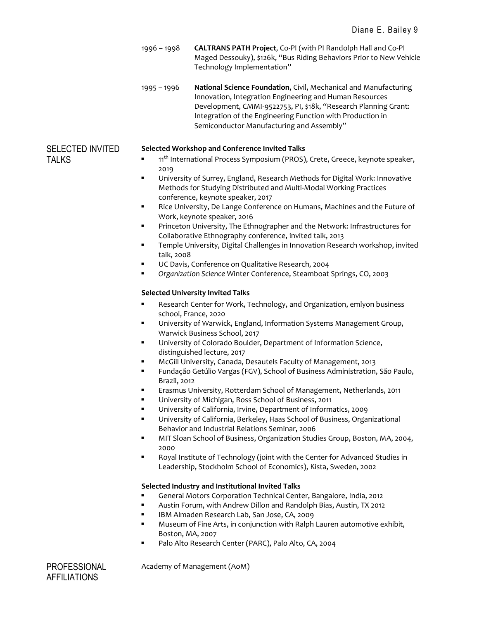1996 – 1998 **CALTRANS PATH Project**, Co-PI (with PI Randolph Hall and Co-PI Maged Dessouky), \$126k, "Bus Riding Behaviors Prior to New Vehicle Technology Implementation"

1995 – 1996 **National Science Foundation**, Civil, Mechanical and Manufacturing Innovation, Integration Engineering and Human Resources Development, CMMI-9522753, PI, \$18k, "Research Planning Grant: Integration of the Engineering Function with Production in Semiconductor Manufacturing and Assembly"

## SELECTED INVITED **Selected Workshop and Conference Invited Talks**

- TALKS  **11<sup>th</sup> International Process Symposium (PROS)**, Crete, Greece, keynote speaker, 2019
	- University of Surrey, England, Research Methods for Digital Work: Innovative Methods for Studying Distributed and Multi-Modal Working Practices conference, keynote speaker, 2017
	- Rice University, De Lange Conference on Humans, Machines and the Future of Work, keynote speaker, 2016
	- Princeton University, The Ethnographer and the Network: Infrastructures for Collaborative Ethnography conference, invited talk, 2013
	- Temple University, Digital Challenges in Innovation Research workshop, invited talk, 2008
	- UC Davis, Conference on Qualitative Research, 2004
	- *Organization Science* Winter Conference, Steamboat Springs, CO, 2003

## **Selected University Invited Talks**

- Research Center for Work, Technology, and Organization, emlyon business school, France, 2020
- University of Warwick, England, Information Systems Management Group, Warwick Business School, 2017
- University of Colorado Boulder, Department of Information Science, distinguished lecture, 2017
- McGill University, Canada, Desautels Faculty of Management, 2013
- Fundação Getúlio Vargas (FGV), School of Business Administration, São Paulo, Brazil, 2012
- Erasmus University, Rotterdam School of Management, Netherlands, 2011
- University of Michigan, Ross School of Business, 2011
- University of California, Irvine, Department of Informatics, 2009
- University of California, Berkeley, Haas School of Business, Organizational Behavior and Industrial Relations Seminar, 2006
- MIT Sloan School of Business, Organization Studies Group, Boston, MA, 2004, 2000
- Royal Institute of Technology (joint with the Center for Advanced Studies in Leadership, Stockholm School of Economics), Kista, Sweden, 2002

## **Selected Industry and Institutional Invited Talks**

- General Motors Corporation Technical Center, Bangalore, India, 2012
- Austin Forum, with Andrew Dillon and Randolph Bias, Austin, TX 2012
- IBM Almaden Research Lab, San Jose, CA, 2009
- Museum of Fine Arts, in conjunction with Ralph Lauren automotive exhibit, Boston, MA, 2007
- Palo Alto Research Center (PARC), Palo Alto, CA, 2004

**AFFILIATIONS** 

PROFESSIONAL Academy of Management (AoM)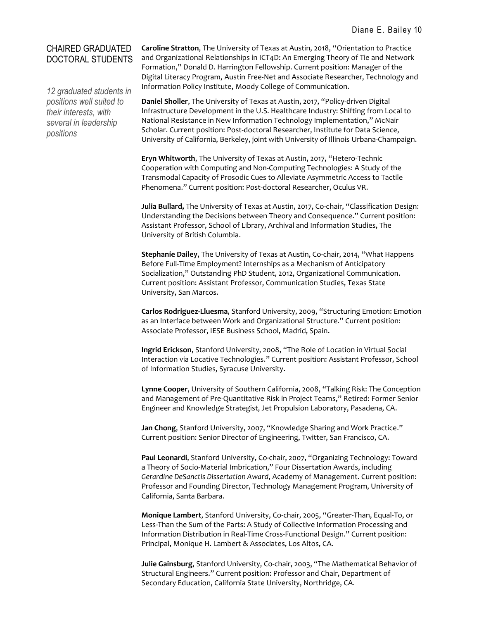# CHAIRED GRADUATED DOCTORAL STUDENTS

*12 graduated students in positions well suited to their interests, with several in leadership positions*

**Caroline Stratton**, The University of Texas at Austin, 2018, "Orientation to Practice and Organizational Relationships in ICT4D: An Emerging Theory of Tie and Network Formation," Donald D. Harrington Fellowship. Current position: Manager of the Digital Literacy Program, Austin Free-Net and Associate Researcher, Technology and Information Policy Institute, Moody College of Communication.

**Daniel Sholler**, The University of Texas at Austin, 2017, "Policy-driven Digital Infrastructure Development in the U.S. Healthcare Industry: Shifting from Local to National Resistance in New Information Technology Implementation," McNair Scholar. Current position: Post-doctoral Researcher, Institute for Data Science, University of California, Berkeley, joint with University of Illinois Urbana-Champaign.

**Eryn Whitworth**, The University of Texas at Austin, 2017, "Hetero-Technic Cooperation with Computing and Non-Computing Technologies: A Study of the Transmodal Capacity of Prosodic Cues to Alleviate Asymmetric Access to Tactile Phenomena." Current position: Post-doctoral Researcher, Oculus VR.

**Julia Bullard,** The University of Texas at Austin, 2017, Co-chair, "Classification Design: Understanding the Decisions between Theory and Consequence." Current position: Assistant Professor, School of Library, Archival and Information Studies, The University of British Columbia.

**Stephanie Dailey**, The University of Texas at Austin, Co-chair, 2014, "What Happens Before Full-Time Employment? Internships as a Mechanism of Anticipatory Socialization," Outstanding PhD Student, 2012, Organizational Communication. Current position: Assistant Professor, Communication Studies, Texas State University, San Marcos.

**Carlos Rodriguez-Lluesma**, Stanford University, 2009, "Structuring Emotion: Emotion as an Interface between Work and Organizational Structure." Current position: Associate Professor, IESE Business School, Madrid, Spain.

**Ingrid Erickson**, Stanford University, 2008, "The Role of Location in Virtual Social Interaction via Locative Technologies." Current position: Assistant Professor, School of Information Studies, Syracuse University.

**Lynne Cooper**, University of Southern California, 2008, "Talking Risk: The Conception and Management of Pre-Quantitative Risk in Project Teams," Retired: Former Senior Engineer and Knowledge Strategist, Jet Propulsion Laboratory, Pasadena, CA.

**Jan Chong**, Stanford University, 2007, "Knowledge Sharing and Work Practice." Current position: Senior Director of Engineering, Twitter, San Francisco, CA.

**Paul Leonardi**, Stanford University, Co-chair, 2007, "Organizing Technology: Toward a Theory of Socio-Material Imbrication," Four Dissertation Awards, including *Gerardine DeSanctis Dissertation Award*, Academy of Management. Current position: Professor and Founding Director, Technology Management Program, University of California, Santa Barbara.

**Monique Lambert**, Stanford University, Co-chair, 2005, "Greater-Than, Equal-To, or Less-Than the Sum of the Parts: A Study of Collective Information Processing and Information Distribution in Real-Time Cross-Functional Design." Current position: Principal, Monique H. Lambert & Associates, Los Altos, CA.

**Julie Gainsburg**, Stanford University, Co-chair, 2003, "The Mathematical Behavior of Structural Engineers." Current position: Professor and Chair, Department of Secondary Education, California State University, Northridge, CA.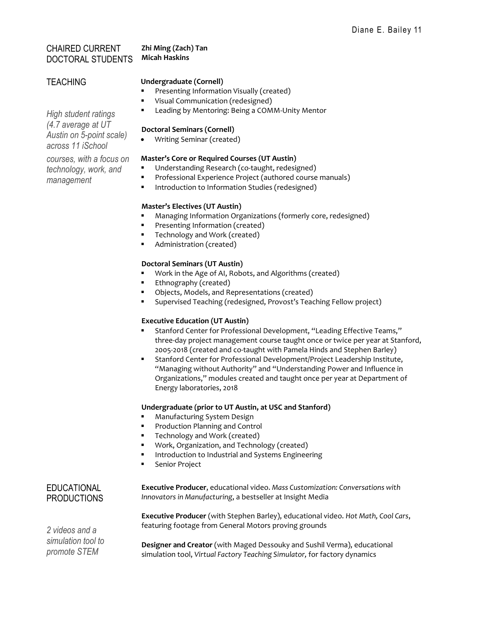# CHAIRED CURRENT DOCTORAL STUDENTS

# **Zhi Ming (Zach) Tan Micah Haskins**

# **TEACHING**

# **Undergraduate (Cornell)**

- Presenting Information Visually (created)
- Visual Communication (redesigned)
- Leading by Mentoring: Being a COMM-Unity Mentor

## **Doctoral Seminars (Cornell)**

• Writing Seminar (created)

## **Master's Core or Required Courses (UT Austin)**

- Understanding Research (co-taught, redesigned)
- Professional Experience Project (authored course manuals)
- Introduction to Information Studies (redesigned)

## **Master's Electives (UT Austin)**

- Managing Information Organizations (formerly core, redesigned)
- Presenting Information (created)
- Technology and Work (created)
- Administration (created)

# **Doctoral Seminars (UT Austin)**

- Work in the Age of AI, Robots, and Algorithms (created)
- Ethnography (created)
- Objects, Models, and Representations (created)
- Supervised Teaching (redesigned, Provost's Teaching Fellow project)

# **Executive Education (UT Austin)**

- Stanford Center for Professional Development, "Leading Effective Teams," three-day project management course taught once or twice per year at Stanford, 2005-2018 (created and co-taught with Pamela Hinds and Stephen Barley)
- Stanford Center for Professional Development/Project Leadership Institute, "Managing without Authority" and "Understanding Power and Influence in Organizations," modules created and taught once per year at Department of Energy laboratories, 2018

# **Undergraduate (prior to UT Austin, at USC and Stanford)**

- Manufacturing System Design
- Production Planning and Control
- Technology and Work (created)
- Work, Organization, and Technology (created)
- Introduction to Industrial and Systems Engineering
- Senior Project

# **EDUCATIONAL** PRODUCTIONS

*2 videos and a simulation tool to promote STEM*

**Executive Producer**, educational video. *Mass Customization: Conversations with Innovators in Manufacturing*, a bestseller at Insight Media

**Executive Producer** (with Stephen Barley), educational video. *Hot Math, Cool Cars*, featuring footage from General Motors proving grounds

**Designer and Creator** (with Maged Dessouky and Sushil Verma), educational simulation tool, *Virtual Factory Teaching Simulator,* for factory dynamics

*Austin on 5-point scale) across 11 iSchool courses, with a focus on technology, work, and management*

*High student ratings (4.7 average at UT*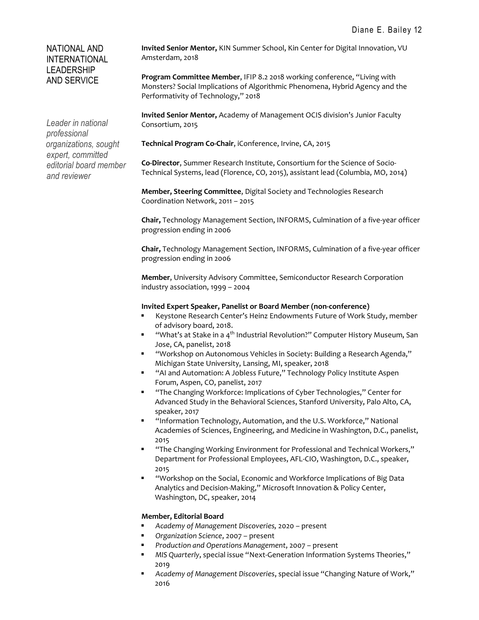# NATIONAL AND INTERNATIONAL LEADERSHIP AND SERVICE

*Leader in national professional organizations, sought expert, committed editorial board member and reviewer*

**Invited Senior Mentor,** KIN Summer School, Kin Center for Digital Innovation, VU Amsterdam, 2018

**Program Committee Member**, IFIP 8.2 2018 working conference, "Living with Monsters? Social Implications of Algorithmic Phenomena, Hybrid Agency and the Performativity of Technology," 2018

**Invited Senior Mentor,** Academy of Management OCIS division's Junior Faculty Consortium, 2015

**Technical Program Co-Chair**, iConference, Irvine, CA, 2015

**Co-Director**, Summer Research Institute, Consortium for the Science of Socio-Technical Systems, lead (Florence, CO, 2015), assistant lead (Columbia, MO, 2014)

**Member, Steering Committee**, Digital Society and Technologies Research Coordination Network, 2011 – 2015

**Chair,** Technology Management Section, INFORMS, Culmination of a five-year officer progression ending in 2006

**Chair,** Technology Management Section, INFORMS, Culmination of a five-year officer progression ending in 2006

**Member**, University Advisory Committee, Semiconductor Research Corporation industry association, 1999 – 2004

#### **Invited Expert Speaker, Panelist or Board Member (non-conference)**

- Keystone Research Center's Heinz Endowments Future of Work Study, member of advisory board, 2018.
- **■** "What's at Stake in a 4<sup>th</sup> Industrial Revolution?" Computer History Museum, San Jose, CA, panelist, 2018
- "Workshop on Autonomous Vehicles in Society: Building a Research Agenda," Michigan State University, Lansing, MI, speaker, 2018
- "AI and Automation: A Jobless Future," Technology Policy Institute Aspen Forum, Aspen, CO, panelist, 2017
- "The Changing Workforce: Implications of Cyber Technologies," Center for Advanced Study in the Behavioral Sciences, Stanford University, Palo Alto, CA, speaker, 2017
- "Information Technology, Automation, and the U.S. Workforce," National Academies of Sciences, Engineering, and Medicine in Washington, D.C., panelist, 2015
- "The Changing Working Environment for Professional and Technical Workers," Department for Professional Employees, AFL-CIO, Washington, D.C., speaker, 2015
- "Workshop on the Social, Economic and Workforce Implications of Big Data Analytics and Decision-Making," Microsoft Innovation & Policy Center, Washington, DC, speaker, 2014

#### **Member, Editorial Board**

- *Academy of Management Discoveries,* 2020 present
- *Organization Science*, 2007 present
- *Production and Operations Management*, 2007 present
- *MIS Quarterly*, special issue "Next-Generation Information Systems Theories," 2019
- *Academy of Management Discoveries*, special issue "Changing Nature of Work," 2016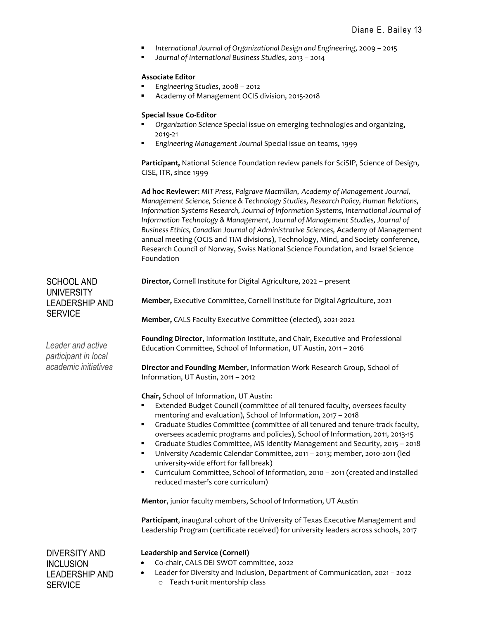- *International Journal of Organizational Design and Engineering*, 2009 2015
- *Journal of International Business Studies*, 2013 2014

#### **Associate Editor**

- *Engineering Studies*, 2008 2012
- Academy of Management OCIS division, 2015-2018

## **Special Issue Co-Editor**

- *Organization Science* Special issue on emerging technologies and organizing, 2019-21
- *Engineering Management Journal* Special issue on teams, 1999

**Participant,** National Science Foundation review panels for SciSIP, Science of Design, CISE, ITR, since 1999

**Ad hoc Reviewer**: *MIT Press, Palgrave Macmillan*, *Academy of Management Journal, Management Science, Science & Technology Studies, Research Policy, Human Relations, Information Systems Research, Journal of Information Systems, International Journal of Information Technology & Management, Journal of Management Studies, Journal of Business Ethics, Canadian Journal of Administrative Sciences,* Academy of Management annual meeting (OCIS and TIM divisions), Technology, Mind, and Society conference, Research Council of Norway, Swiss National Science Foundation, and Israel Science Foundation

**Director,** Cornell Institute for Digital Agriculture, 2022 – present

**Member,** Executive Committee, Cornell Institute for Digital Agriculture, 2021

**Member,** CALS Faculty Executive Committee (elected), 2021-2022

**Founding Director**, Information Institute, and Chair, Executive and Professional Education Committee, School of Information, UT Austin, 2011 – 2016

**Director and Founding Member**, Information Work Research Group, School of Information, UT Austin, 2011 – 2012

**Chair,** School of Information, UT Austin:

- Extended Budget Council (committee of all tenured faculty, oversees faculty mentoring and evaluation), School of Information, 2017 – 2018
- Graduate Studies Committee (committee of all tenured and tenure-track faculty, oversees academic programs and policies), School of Information, 2011, 2013-15
- Graduate Studies Committee, MS Identity Management and Security, 2015 2018
- University Academic Calendar Committee, 2011 2013; member, 2010-2011 (led university-wide effort for fall break)
- Curriculum Committee, School of Information, 2010 2011 (created and installed reduced master's core curriculum)

**Mentor**, junior faculty members, School of Information, UT Austin

**Participant**, inaugural cohort of the University of Texas Executive Management and Leadership Program (certificate received) for university leaders across schools, 2017

DIVERSITY AND INCLUSION LEADERSHIP AND **SERVICE** 

#### **Leadership and Service (Cornell)**

- Co-chair, CALS DEI SWOT committee, 2022
- Leader for Diversity and Inclusion, Department of Communication, 2021 2022 o Teach 1-unit mentorship class

SCHOOL AND **UNIVERSITY** LEADERSHIP AND **SERVICE** 

*Leader and active participant in local academic initiatives*